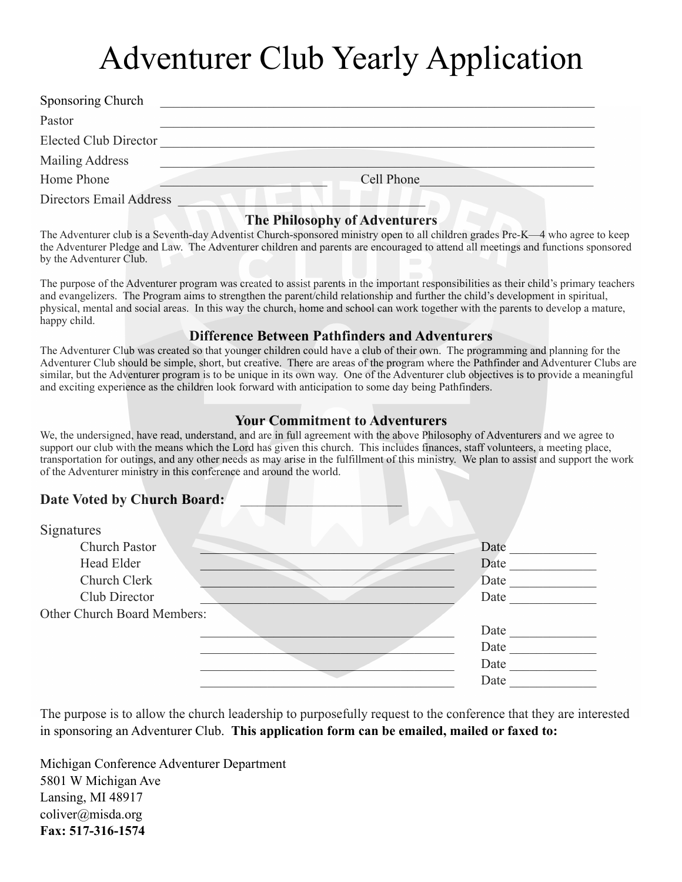# Adventurer Club Yearly Application

| Sponsoring Church            |            |
|------------------------------|------------|
| Pastor                       |            |
| <b>Elected Club Director</b> |            |
| Mailing Address              |            |
| Home Phone                   | Cell Phone |
| Directors Email Address      |            |

#### **The Philosophy of Adventurers**

The Adventurer club is a Seventh-day Adventist Church-sponsored ministry open to all children grades Pre-K—4 who agree to keep the Adventurer Pledge and Law. The Adventurer children and parents are encouraged to attend all meetings and functions sponsored by the Adventurer Club.

The purpose of the Adventurer program was created to assist parents in the important responsibilities as their child's primary teachers and evangelizers. The Program aims to strengthen the parent/child relationship and further the child's development in spiritual, physical, mental and social areas. In this way the church, home and school can work together with the parents to develop a mature, happy child.

#### **Difference Between Pathfinders and Adventurers**

The Adventurer Club was created so that younger children could have a club of their own. The programming and planning for the Adventurer Club should be simple, short, but creative. There are areas of the program where the Pathfinder and Adventurer Clubs are similar, but the Adventurer program is to be unique in its own way. One of the Adventurer club objectives is to provide a meaningful and exciting experience as the children look forward with anticipation to some day being Pathfinders.

#### **Your Commitment to Adventurers**

We, the undersigned, have read, understand, and are in full agreement with the above Philosophy of Adventurers and we agree to support our club with the means which the Lord has given this church. This includes finances, staff volunteers, a meeting place, transportation for outings, and any other needs as may arise in the fulfillment of this ministry. We plan to assist and support the work of the Adventurer ministry in this conference and around the world.

#### Date Voted by Church Board:

| Signatures                  |      |
|-----------------------------|------|
| Church Pastor               | Date |
| Head Elder                  | Date |
| Church Clerk                | Date |
| Club Director               | Date |
| Other Church Board Members: |      |
|                             | Date |
|                             | Date |
|                             | Date |
|                             | Date |

The purpose is to allow the church leadership to purposefully request to the conference that they are interested in sponsoring an Adventurer Club. **This application form can be emailed, mailed or faxed to:** 

Michigan Conference Adventurer Department 5801 W Michigan Ave Lansing, MI 48917 coliver@misda.org **Fax: 517-316-1574**